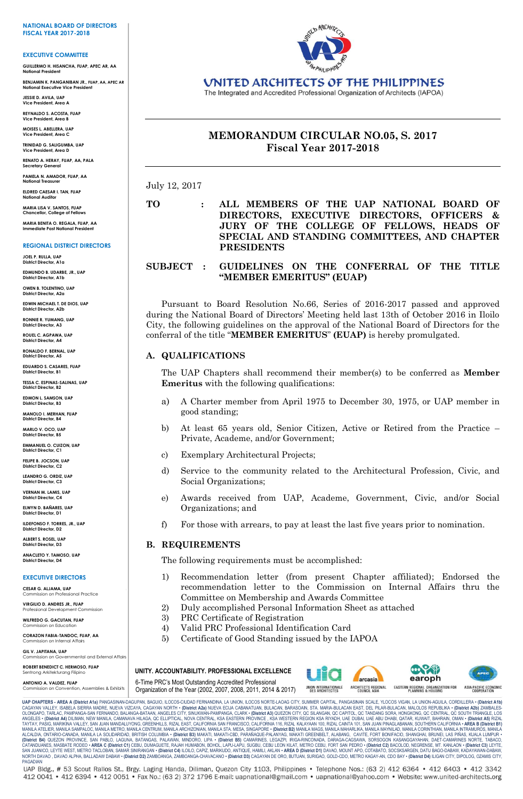#### **NATIONAL BOARD OF DIRECTORS FISCAL YEAR 2017-2018**

#### **EXECUTIVE COMMITTEE**

**GUILLERMO H. HISANCHA, FUAP, APEC AR, AA National President**

**BENJAMIN K. PANGANIBAN JR., FUAP, AA, APEC AR National Executive Vice President**

**JESSIE D. AVILA, UAP Vice President, Area A**

**REYNALDO S. ACOSTA, FUAP Vice President, Area B**

**MOISES L. ABELLERA, UAP Vice President, Area C**

**TRINIDAD G. SALIGUMBA, UAP Vice President, Area D RENATO A. HERAY, FUAP, AA, PALA**

**Secretary General**

**PAMELA N. AMADOR, FUAP, AA National Treasurer**

**ELDRED CAESAR I. TAN, FUAP National Auditor**

**MARIA LISA V. SANTOS, FUAP Chancellor, College of Fellows**

**MARIA BENITA O. REGALA, FUAP, AA Immediate Past National President**

### **REGIONAL DISTRICT DIRECTORS**

**JOEL P. RULLA, UAP District Director, A1a**

**EDMUNDO B. UDARBE, JR., UAP District Director, A1b**

**OWEN B. TOLENTINO, UAP District Director, A2a**

**EDWIN MICHAEL T. DE DIOS, UAP District Director, A2b**

**RONNIE R. YUMANG, UAP District Director, A3**

**ROUEL C. AGPAWA, UAP** 

**District Director, A4 RONALDO F. BERNAL, UAP District Director, A5**

**EDUARDO S. CASARES, FUAP District Director, B1**

**TESSA C. ESPINAS-SALINAS, UAP**

**District Director, B2 EDMON L. SAMSON, UAP**

**District Director, B3 MANOLO I. MERHAN, FUAP**

**District Director, B4**

**MARLO V. OCO, UAP District Director, B5**

**EMMANUEL O. CUIZON, UAP District Director, C1**

**FELIPE B. JOCSON, UAP District Director, C2**

**LEANDRO G. ORDIZ, UAP District Director, C3**

**VERNAN M. LAMIS, UAP District Director, C4**

**ELWYN D. BAÑARES, UAP District Director, D1**

**ILDEFONSO F. TORRES, JR., UAP District Director, D2 ALBERT S. ROSEL, UAP**

**District Director, D3 ANACLETO Y. TAMOSO, UAP District Director, D4**

#### **EXECUTIVE DIRECTORS**

**CESAR G. ALJAMA, UAP** onal Practice

**VIRGILIO D. ANDRES JR., FUAP** Professional Development Commission

**WILFREDO G. GACUTAN, FUAP** Commission on Education

**CORAZON FABIA-TANDOC, FUAP, AA**

Commission on Internal Affairs **GIL V. JAPITANA, UAP**

ion on Governmental and External Affairs **ROBERT BENEDICT C. HERMOSO, FUAP**

#### ng Arkitekturang Filipino **ANTONIO A. VALDEZ, FUAP** Commission on Convention, Assemblies & Exhibits



UNITED ARCHITECTS OF THE PHILIPPINES

The Integrated and Accredited Professional Organization of Architects (IAPOA)

# **MEMORANDUM CIRCULAR NO.05, S. 2017 Fiscal Year 2017-2018**

July 12, 2017

### **TO : ALL MEMBERS OF THE UAP NATIONAL BOARD OF DIRECTORS, EXECUTIVE DIRECTORS, OFFICERS & JURY OF THE COLLEGE OF FELLOWS, HEADS OF SPECIAL AND STANDING COMMITTEES, AND CHAPTER PRESIDENTS**

### **SUBJECT : GUIDELINES ON THE CONFERRAL OF THE TITLE "MEMBER EMERITUS" (EUAP)**

Pursuant to Board Resolution No.66, Series of 2016-2017 passed and approved during the National Board of Directors' Meeting held last 13th of October 2016 in Iloilo City, the following guidelines on the approval of the National Board of Directors for the conferral of the title "**MEMBER EMERITUS**" **(EUAP)** is hereby promulgated.

### **A. QUALIFICATIONS**

The UAP Chapters shall recommend their member(s) to be conferred as **Member Emeritus** with the following qualifications:

- a) A Charter member from April 1975 to December 30, 1975, or UAP member in good standing;
- b) At least 65 years old, Senior Citizen, Active or Retired from the Practice Private, Academe, and/or Government;
- c) Exemplary Architectural Projects;
- d) Service to the community related to the Architectural Profession, Civic, and Social Organizations;
- e) Awards received from UAP, Academe, Government, Civic, and/or Social Organizations; and
- f) For those with arrears, to pay at least the last five years prior to nomination.

### **B. REQUIREMENTS**

The following requirements must be accomplished:

- 1) Recommendation letter (from present Chapter affiliated); Endorsed the recommendation letter to the Commission on Internal Affairs thru the Committee on Membership and Awards Committee
- 2) Duly accomplished Personal Information Sheet as attached
- 3) PRC Certificate of Registration
- 4) Valid PRC Professional Identification Card
- 5) Certificate of Good Standing issued by the IAPOA

6-Time PRC's Most Outstanding Accredited Professional Organization of the Year (2002, 2007, 2008, 2011, 2014 & 2017) **UNITY. ACCOUNTABILITY. PROFESSIONAL EXCELLENCE**



UARPERIS - AREA (PIstric A19 PANGAINAN-DAGUPAN, BAGUIO, ICOS-CIUDAD FERNANDIMA, LLACAN, BARASOAN, STA MARIA-BUACAN EAST, DEL PILAR-BULACAN, MALOLOS REPUBLIKA • (Distric A19) ANIGALES-<br>CAGAYAN VALLEY, ISABELA SIERRA MADRE,

UAP Bldg., # 53 Scout Rallos St., Brgy. Laging Handa, Diliman, Quezon City 1103, Philippines · Telephone Nos.: (63 2) 412 6364 · 412 6403 · 412 3342 412 0041 • 412 6394 • 412 0051 • Fax No.: (63 2) 372 1796 E-mail: uapnational@gmail.com • uapnational@yahoo.com • Website: www.united-architects.org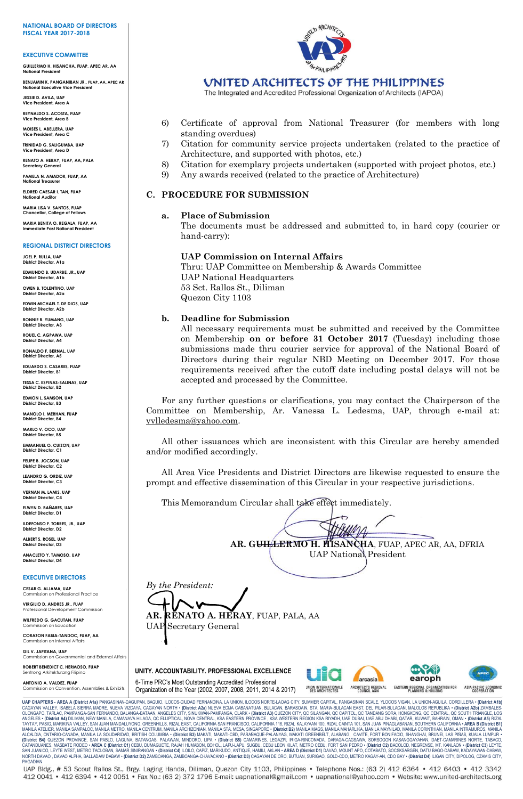#### **NATIONAL BOARD OF DIRECTORS FISCAL YEAR 2017-2018**

#### **EXECUTIVE COMMITTEE**

**GUILLERMO H. HISANCHA, FUAP, APEC AR, AA National President**

**BENJAMIN K. PANGANIBAN JR., FUAP, AA, APEC AR National Executive Vice President**

**JESSIE D. AVILA, UAP Vice President, Area A**

**REYNALDO S. ACOSTA, FUAP Vice President, Area B**

**MOISES L. ABELLERA, UAP Vice President, Area C**

**TRINIDAD G. SALIGUMBA, UAP Vice President, Area D**

**RENATO A. HERAY, FUAP, AA, PALA Secretary General**

**PAMELA N. AMADOR, FUAP, AA National Treasurer**

**ELDRED CAESAR I. TAN, FUAP National Auditor**

**MARIA LISA V. SANTOS, FUAP Chancellor, College of Fellows**

**MARIA BENITA O. REGALA, FUAP, AA Immediate Past National President**

#### **REGIONAL DISTRICT DIRECTORS**

**JOEL P. RULLA, UAP District Director, A1a**

**EDMUNDO B. UDARBE, JR., UAP District Director, A1b**

**OWEN B. TOLENTINO, UAP District Director, A2a**

**EDWIN MICHAEL T. DE DIOS, UAP District Director, A2b**

**RONNIE R. YUMANG, UAP District Director, A3**

**ROUEL C. AGPAWA, UAP District Director, A4**

**RONALDO F. BERNAL, UAP District Director, A5**

**EDUARDO S. CASARES, FUAP District Director, B1**

**TESSA C. ESPINAS-SALINAS, UAP District Director, B2**

**EDMON L. SAMSON, UAP District Director, B3**

**MANOLO I. MERHAN, FUAP**

**District Director, B4 MARLO V. OCO, UAP**

**District Director, B5 EMMANUEL O. CUIZON, UAP District Director, C1**

**FELIPE B. JOCSON, UAP District Director, C2**

**LEANDRO G. ORDIZ, UAP District Director, C3 VERNAN M. LAMIS, UAP District Director, C4**

**ELWYN D. BAÑARES, UAP District Director, D1**

**ILDEFONSO F. TORRES, JR., UAP District Director, D2**

**ALBERT S. ROSEL, UAP District Director, D3 ANACLETO Y. TAMOSO, UAP District Director, D4**

**EXECUTIVE DIRECTORS**

**CESAR G. ALJAMA, UAP** onal Practice

**VIRGILIO D. ANDRES JR., FUAP** Professional Development Commission

**WILFREDO G. GACUTAN, FUAP** Commission on Education

**CORAZON FABIA-TANDOC, FUAP, AA** Commission on Internal Affairs

**GIL V. JAPITANA, UAP** ion on Governmental and External Affairs

**ROBERT BENEDICT C. HERMOSO, FUAP** ng Arkitekturang Filipin

**ANTONIO A. VALDEZ, FUAP** Commission on Convention, Assemblies & Exhibits



## UNITED ARCHITECTS OF THE PHILIPPINES

The Integrated and Accredited Professional Organization of Architects (IAPOA)

- 6) Certificate of approval from National Treasurer (for members with long standing overdues)
- 7) Citation for community service projects undertaken (related to the practice of Architecture, and supported with photos, etc.)
- 8) Citation for exemplary projects undertaken (supported with project photos, etc.)
- 9) Any awards received (related to the practice of Architecture)

### **C. PROCEDURE FOR SUBMISSION**

### **a. Place of Submission**

The documents must be addressed and submitted to, in hard copy (courier or hand-carry):

### **UAP Commission on Internal Affairs**

Thru: UAP Committee on Membership & Awards Committee UAP National Headquarters 53 Sct. Rallos St., Diliman Quezon City 1103

### **b. Deadline for Submission**

All necessary requirements must be submitted and received by the Committee on Membership **on or before 31 October 2017** (Tuesday) including those submissions made thru courier service for approval of the National Board of Directors during their regular NBD Meeting on December 2017. For those requirements received after the cutoff date including postal delays will not be accepted and processed by the Committee.

For any further questions or clarifications, you may contact the Chairperson of the Committee on Membership, Ar. Vanessa L. Ledesma, UAP, through e-mail at: vvlledesma@yahoo.com.

All other issuances which are inconsistent with this Circular are hereby amended and/or modified accordingly.

All Area Vice Presidents and District Directors are likewise requested to ensure the prompt and effective dissemination of this Circular in your respective jurisdictions.

This Memorandum Circular shall take effect immediately.

**AR. GUILLERMO H. HISANCHA**, FUAP, APEC AR, AA, DFRIA UAP National President

*By the President:* **AR. RENATO A. HERAY**, FUAP, PALA, AA

UAP Secretary General

6-Time PRC's Most Outstanding Accredited Professional Organization of the Year (2002, 2007, 2008, 2011, 2014 & 2017) **UNITY. ACCOUNTABILITY. PROFESSIONAL EXCELLENCE**





UARPERIS - AREA (PIstric A19 PANGAINAN-DAGUPAN, BAGUIO, ICOS-CIUDAD FERNANDIMA, LLACAN, BARASOAN, STA MARIA-BUACAN EAST, DEL PILAR-BULACAN, MALOLOS REPUBLIKA • (Distric A19) ANIGALES-<br>CAGAYAN VALLEY, ISABELA SIERRA MADRE,

UAP Bldg., # 53 Scout Rallos St., Brgy. Laging Handa, Diliman, Quezon City 1103, Philippines · Telephone Nos.: (63 2) 412 6364 · 412 6403 · 412 3342 412 0041 • 412 6394 • 412 0051 • Fax No.: (63 2) 372 1796 E-mail: uapnational@gmail.com • uapnational@yahoo.com • Website: www.united-architects.org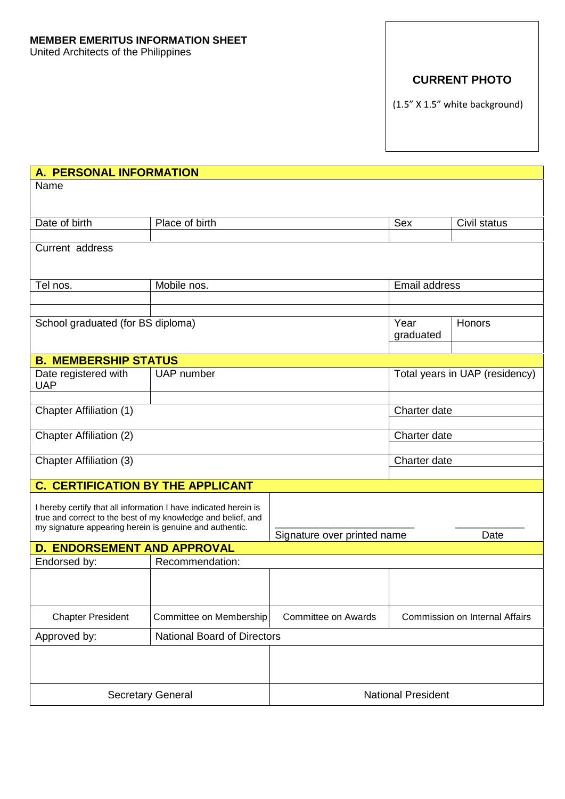# **CURRENT PHOTO**

(1.5" X 1.5" white background)

| A. PERSONAL INFORMATION                                          |                                                              |                                |                      |                                |
|------------------------------------------------------------------|--------------------------------------------------------------|--------------------------------|----------------------|--------------------------------|
| Name                                                             |                                                              |                                |                      |                                |
|                                                                  |                                                              |                                |                      |                                |
| Date of birth                                                    | Place of birth                                               |                                | Sex                  | Civil status                   |
| Current address                                                  |                                                              |                                |                      |                                |
|                                                                  |                                                              |                                |                      |                                |
| Tel nos.                                                         | Mobile nos.                                                  |                                | <b>Email address</b> |                                |
|                                                                  |                                                              |                                |                      |                                |
| School graduated (for BS diploma)                                |                                                              |                                | Year                 | Honors                         |
|                                                                  |                                                              |                                | graduated            |                                |
| <b>B. MEMBERSHIP STATUS</b>                                      |                                                              |                                |                      |                                |
| Date registered with                                             |                                                              | Total years in UAP (residency) |                      |                                |
| <b>UAP</b>                                                       |                                                              |                                |                      |                                |
| <b>Chapter Affiliation (1)</b>                                   |                                                              |                                | Charter date         |                                |
|                                                                  |                                                              |                                |                      |                                |
| <b>Chapter Affiliation (2)</b>                                   |                                                              |                                | Charter date         |                                |
| Chapter Affiliation (3)                                          |                                                              |                                | Charter date         |                                |
| <b>C. CERTIFICATION BY THE APPLICANT</b>                         |                                                              |                                |                      |                                |
|                                                                  |                                                              |                                |                      |                                |
| I hereby certify that all information I have indicated herein is | true and correct to the best of my knowledge and belief, and |                                |                      |                                |
| my signature appearing herein is genuine and authentic.          |                                                              | Signature over printed name    |                      | Date                           |
| <b>D. ENDORSEMENT AND APPROVAL</b>                               |                                                              |                                |                      |                                |
| Endorsed by:                                                     | Recommendation:                                              |                                |                      |                                |
|                                                                  |                                                              |                                |                      |                                |
|                                                                  |                                                              |                                |                      |                                |
| <b>Chapter President</b>                                         | Committee on Membership                                      | <b>Committee on Awards</b>     |                      | Commission on Internal Affairs |
| Approved by:                                                     | <b>National Board of Directors</b>                           |                                |                      |                                |
|                                                                  |                                                              |                                |                      |                                |
|                                                                  |                                                              |                                |                      |                                |
| <b>Secretary General</b>                                         |                                                              | <b>National President</b>      |                      |                                |
|                                                                  |                                                              |                                |                      |                                |